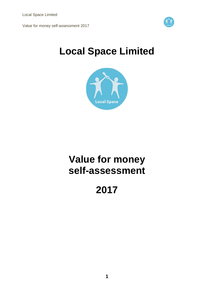

# **Local Space Limited**



# **Value for money self-assessment**

# **2017**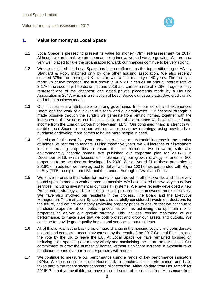

# **1. Value for money at Local Space**

- 1.1 Local Space is pleased to present its value for money (Vfm) self-assessment for 2017. Although we are small, we are seen as being innovative and we are growing. We are now very well placed to take the organisation forward; our finances continue to be very strong.
- 1.2 We are delighted that Local Space has been reaffirmed as the top credit rating of AA- by Standard & Poor, matched only by one other housing association. We also recently secured £75m from a single UK investor, with a final maturity of 40 years. The facility is made up of two tranches: the first drawn in July 2017 carries an annual interest rate of 3.17%: the second will be drawn in June 2018 and carries a rate of 3.28%. Together they represent one of the cheapest long dated private placements made by a Housing Association in 2017, which is a reflection of Local Space's unusually attractive credit rating and robust business model.
- 1.3 Our successes are attributable to strong governance from our skilled and experienced Board and the work of our executive team and our employees. Our financial strength is made possible through the surplus we generate from renting homes, together with the increases in the value of our housing stock, and the assurance we have for our future income from the London Borough of Newham (LBN). Our continued financial strength will enable Local Space to continue with our ambitious growth strategy, using new funds to purchase or develop more homes to house more people in need.
- 1.4 Our vision for the next five years remains to deliver a substantial increase in the number of homes we rent out to tenants. During those five years, we will increase our investment into our existing properties to ensure that our residents live in warm, safe and environmentally friendly homes. We published our corporate plan for 2016/20 in December 2016, which focuses on implementing our growth strategy of another 800 properties to be acquired or developed by 2020. We delivered 91 of these properties in 2016/17. In addition we have agreed to deliver a further 100 homes part funded with Right to Buy (RTB) receipts from LBN and the London Borough of Waltham Forest.
- 1.5 We strive to ensure that value for money is considered in all that we do, and that every pound spent is made to work as hard as possible. We have looked at new ways to deliver services, including investment in our core IT systems. We have recently developed a new Procurement strategy and are looking to use procurement frameworks more effectively. We have also involved our residents in the process. The Board and the Executive Management Team at Local Space has also carefully considered investment decisions for the future, and we are constantly reviewing property prices to ensure that we continue to purchase properties at competitive prices, as well as achieving the optimum mix of properties to deliver our growth strategy. This includes regular monitoring of our performance, to make sure that we both protect and grow our assets and outputs. We continue to provide good quality homes and services to our residents.
- 1.6 All of this is against the back drop of huge change in the housing sector, and considerable political and economic uncertainty caused by the result of the 2017 General Election, and the vote by the UK to leave the EU. At Local Space we have remained focused on reducing cost, spending our money wisely and maximising the return on our assets. Our commitment to grow the number of homes, without significant increase in expenditure or headcount means that our cost per property will reduce.
- 1.7 We continue to measure our performance using a range of key performance indicators (KPIs). We also continue to use Housemark to benchmark our performance, and have taken part in the recent sector scorecard pilot exercise. Although data from Housemark for 2016/17 is not yet available, we have included some of the results from Housemark from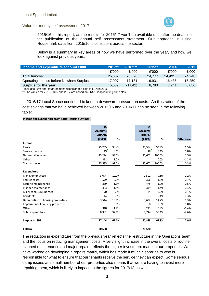

2015/16 in this report, as the results for 2016/17 won't be available until after the deadline for publication of the annual self assessment statement. Our approach in using Housemark data from 2015/16 is consistent across the sector.

Below is a summary in key areas of how we have performed over the year, and how we look against previous years.

| Income and expenditure account £000     | $2017**$ | $2016$ *.** | 2015** | 2014   | 2013   |
|-----------------------------------------|----------|-------------|--------|--------|--------|
|                                         | £'000    | £'000       | £'000  | £'000  | £'000  |
| <b>Total turnover</b>                   | 25.632   | 25.576      | 24.777 | 24.491 | 24.248 |
| Operating surplus before Newham Surplus | 17.907   | 17.181      | 16.931 | 16.435 | 15.259 |
| Surplus for the year                    | 5.582    | (1, 842)    | 6.783  | 7.241  | 6.056  |

\* Includes £9m one-off agreement extension fee paid to LBN in 2016

\*\* The values for 2015, 2016 and 2017 are based on FRS102 accounting principles

In 2016/17 Local Space continued to keep a downward pressure on costs. An illustration of the cost savings that we have achieved between 2015/16 and 2016/17 can be seen in the following table:

**Income and Expenditure from Social Housing Lettings**

|                                    | <b>LS</b><br><b>Accounts</b><br>2015/16<br>(E'000) | %     | LS.<br><b>Accounts</b><br>2016/17<br>(E'000) | %                   | <b>Difference</b> |
|------------------------------------|----------------------------------------------------|-------|----------------------------------------------|---------------------|-------------------|
| Income                             |                                                    |       |                                              |                     |                   |
| Rents                              | 25,205                                             | 98.4% | 25,584                                       | 99.9%               | 1.5%              |
| Service income                     | 19                                                 | 0.1%  | 18                                           | 0.1%                | 0.0%              |
| Net rental income                  | 25,224                                             | 98.5% | 25,602                                       | 100.0%              | 1.5%              |
| Other                              | 311                                                | 1.2%  |                                              | 0.0%                | $-1.2%$           |
| <b>Total turnover</b>              | 25,535                                             | 99.7% | 25,602                                       | 100.0%              | 0.3%              |
| <b>Expenditure</b>                 |                                                    |       |                                              |                     |                   |
| Management costs                   | 3,074                                              | 12.0% | 2,502                                        | 9.8%                | $-2.2%$           |
| Service costs                      | 579                                                | 2.3%  | 396                                          | 1.5%                | $-0.7%$           |
| Routine maintenance                | 339                                                | 1.3%  | 475                                          | 1.9%                | 0.5%              |
| Planned maintenance                | 453                                                | 1.8%  | 349                                          | 1.4%                | $-0.4%$           |
| Major repairs (expensed)           | 70                                                 | 0.3%  | 44                                           | 0.2%                | $-0.1%$           |
| <b>Bad debts</b>                   | 14                                                 | 0.1%  | 93                                           | 0.4%                | 0.3%              |
| Depreciation of housing properties | 3,544                                              | 13.8% | 3,632                                        | 14.2%               | 0.3%              |
| Impairment of housing properties   |                                                    | 0.0%  |                                              | $\mathbf 0$<br>0.0% | 0.0%              |
| Other                              | 318                                                | 1.2%  | 223                                          | 0.9%                | $-0.4%$           |
| Total expenditure                  | 8,391                                              | 32.8% | 7,714                                        | 30.1%               | $-2.6%$           |
| <b>Surplus on SHL</b>              | 17,144                                             | 67.0% | 17,888                                       | 69.9%               | 2.9%              |
| <b>EBITDA</b>                      | 20,688                                             |       | 21,520                                       |                     |                   |

The reduction in expenditure from the previous year reflects the restructure in the Operations team, and the focus on reducing management costs. A very slight increase in the overall costs of routine, planned maintenance and major repairs reflects the higher investment made in our properties. We have worked on developing a repairs matrix, which has made it much clearer as to who is responsible for what to ensure that our tenants receive the service they can expect. Some serious damp issues at a small number of our properties also means that we are having to invest more repairing them, which is likely to impact on the figures for 2017/18 as well.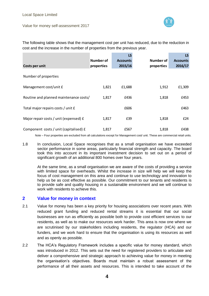

The following table shows that the management cost per unit has reduced, due to the reduction in cost and the increase in the number of properties from the previous year.

|                                        |            | <b>LS</b>       |            | LS.             |
|----------------------------------------|------------|-----------------|------------|-----------------|
|                                        | Number of  | <b>Accounts</b> | Number of  | <b>Accounts</b> |
| Costs per unit                         | properties | 2015/16         | properties | 2016/17         |
| Number of properties                   |            |                 |            |                 |
| Management cost/unit £                 | 1,821      | £1,688          | 1,912      | £1,309          |
|                                        |            |                 |            |                 |
| Routine and planned maintenance costs/ | 1,817      | £436            | 1,818      | £453            |
| Total major repairs costs / unit £     |            | £606            |            | £463            |
| Major repair costs / unit (expensed) £ | 1,817      | £39             | 1,818      | £24             |
| Component costs / unit (capitalised) £ | 1,817      | £567            | 1,818      | £438            |

Note – Four properties are excluded from all calculations except for Management cost/ unit. These are commercial retail units.

1.8 In conclusion, Local Space recognises that as a small organisation we have exceeded sector performance in some areas, particularly financial strength and capacity. The board took this into account in its important investment decision to set out on a period of significant growth of an additional 800 homes over four years.

At the same time, as a small organisation we are aware of the costs of providing a service with limited space for overheads. Whilst the increase in size will help we will keep the focus of cost management on this area and continue to use technology and innovation to help us be as cost effective as possible. Our commitment to our tenants and residents is to provide safe and quality housing in a sustainable environment and we will continue to work with residents to achieve this.

# **2 Value for money in context**

- 2.1 Value for money has been a key priority for housing associations over recent years. With reduced grant funding and reduced rental streams it is essential that our social businesses are run as efficiently as possible both to provide cost efficient services to our residents, as well as to make our resources work harder. This area is now one where we are scrutinised by our stakeholders including residents, the regulator (HCA) and our funders, and we work hard to ensure that the organisation is using its resources as well and as openly as possible.
- 2.2 The HCA's Regulatory Framework includes a specific value for money standard, which was introduced in 2012. This sets out the need for registered providers to articulate and deliver a comprehensive and strategic approach to achieving value for money in meeting the organisation's objectives. Boards must maintain a robust assessment of the performance of all their assets and resources. This is intended to take account of the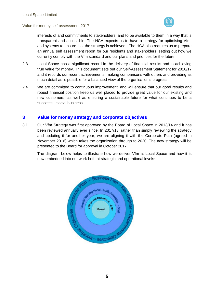



interests of and commitments to stakeholders, and to be available to them in a way that is transparent and accessible. The HCA expects us to have a strategy for optimising Vfm, and systems to ensure that the strategy is achieved. The HCA also requires us to prepare an annual self assessment report for our residents and stakeholders, setting out how we currently comply with the Vfm standard and our plans and priorities for the future.

- 2.3 Local Space has a significant record in the delivery of financial results and in achieving true value for money. This document sets out our Self-Assessment Statement for 2016/17 and it records our recent achievements, making comparisons with others and providing as much detail as is possible for a balanced view of the organisation's progress.
- 2.4 We are committed to continuous improvement, and will ensure that our good results and robust financial position keep us well placed to provide great value for our existing and new customers, as well as ensuring a sustainable future for what continues to be a successful social business.

# **3 Value for money strategy and corporate objectives**

3.1 Our Vfm Strategy was first approved by the Board of Local Space in 2013/14 and it has been reviewed annually ever since. In 2017/18, rather than simply reviewing the strategy and updating it for another year, we are aligning it with the Corporate Plan (agreed in November 2016) which takes the organization through to 2020. The new strategy will be presented to the Board for approval in October 2017.

The diagram below helps to illustrate how we deliver Vfm at Local Space and how it is now embedded into our work both at strategic and operational levels:

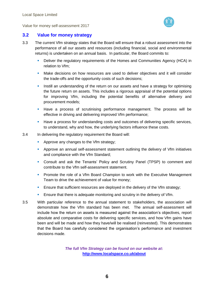

# **3.2 Value for money strategy**

- 3.3 The current Vfm strategy states that the Board will ensure that a robust assessment into the performance of all our assets and resources (including financial, social and environmental returns) is undertaken on an annual basis. In particular, the Board commits to:
	- Deliver the regulatory requirements of the Homes and Communities Agency (HCA) in relation to Vfm;
	- **Make decisions on how resources are used to deliver objectives and it will consider** the trade-offs and the opportunity costs of such decisions;
	- **Instill an understanding of the return on our assets and have a strategy for optimising** the future return on assets. This includes a rigorous appraisal of the potential options for improving Vfm, including the potential benefits of alternative delivery and procurement models;
	- **Have a process of scrutinising performance management. The process will be** effective in driving and delivering improved Vfm performance;
	- **Have a process for understanding costs and outcomes of delivering specific services,** to understand, why and how, the underlying factors influence these costs.
- 3.4 In delivering the regulatory requirement the Board will:
	- **Approve any changes to the Vfm strategy;**
	- **Approve an annual self-assessment statement outlining the delivery of Vfm initiatives** and compliance with the Vfm Standard;
	- Consult and ask the Tenants' Policy and Scrutiny Panel (TPSP) to comment and contribute to the Vfm self-assessment statement.
	- **Promote the role of a Vfm Board Champion to work with the Executive Management** Team to drive the achievement of value for money;
	- **Ensure that sufficient resources are deployed in the delivery of the Vfm strategy;**
	- **Ensure that there is adequate monitoring and scrutiny in the delivery of Vfm.**
- 3.5 With particular reference to the annual statement to stakeholders, the association will demonstrate how the Vfm standard has been met. The annual self-assessment will include how the return on assets is measured against the association's objectives, report absolute and comparative costs for delivering specific services, and how Vfm gains have been and will be made and how they have/will be realised (reinvested). This demonstrates that the Board has carefully considered the organisation's performance and investment decisions made.

*The full Vfm Strategy can be found on our website at***: <http://www.localspace.co.uk/about>**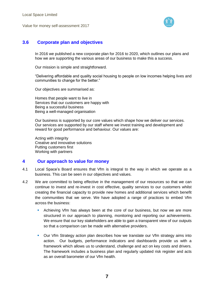



# **3.6 Corporate plan and objectives**

In 2016 we published a new corporate plan for 2016 to 2020, which outlines our plans and how we are supporting the various areas of our business to make this a success.

Our mission is simple and straightforward.

"Delivering affordable and quality social housing to people on low incomes helping lives and communities to change for the better."

Our objectives are summarised as:

Homes that people want to live in Services that our customers are happy with Being a successful business Being a well-managed organisation

Our business is supported by our core values which shape how we deliver our services. Our services are supported by our staff where we invest training and development and reward for good performance and behaviour. Our values are:

Acting with integrity Creative and innovative solutions Putting customers first Working with partners

## **4 Our approach to value for money**

- 4.1 Local Space's Board ensures that Vfm is integral to the way in which we operate as a business. This can be seen in our objectives and values.
- 4.2 We are committed to being effective in the management of our resources so that we can continue to invest and re-invest in cost effective, quality services to our customers whilst creating the financial capacity to provide new homes and additional services which benefit the communities that we serve. We have adopted a range of practices to embed Vfm across the business:
	- Achieving Vfm has always been at the core of our business, but now we are more structured in our approach to planning, monitoring and reporting our achievements. We ensure that our key stakeholders are able to gain a transparent view of our outputs so that a comparison can be made with alternative providers.
	- **Our Vfm Strategy action plan describes how we translate our Vfm strategy aims into** action. Our budgets, performance indicators and dashboards provide us with a framework which allows us to understand, challenge and act on key costs and drivers. The framework includes a business plan and regularly updated risk register and acts as an overall barometer of our Vfm health.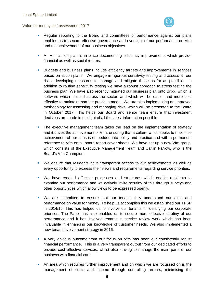



- Regular reporting to the Board and committees of performance against our plans enables us to secure effective governance and oversight of our performance on Vfm and the achievement of our business objectives.
- A Vfm action plan is in place documenting efficiency improvements which provide financial as well as social returns.
- **Budgets and business plans include efficiency targets and improvements in services** based on action plans. We engage in rigorous sensitivity testing and assess all our risks, developing measures to manage and mitigate these as far as possible. In addition to routine sensitivity testing we have a robust approach to stress testing the business plan. We have also recently migrated our business plan onto Brixx, which is software which is used across the sector, and which will be easier and more cost effective to maintain than the previous model. We are also implementing an improved methodology for assessing and managing risks, which will be presented to the Board in October 2017. This helps our Board and senior team ensure that investment decisions are made in the light of all the latest information possible.
- **The executive management team takes the lead on the implementation of strategy** and it drives the achievement of Vfm, ensuring that a culture which seeks to maximise achievement of our aims is embedded into policy and practice and with a permanent reference to Vfm on all board report cover sheets. We have set up a new Vfm group, which consists of the Executive Management Team and Caitlin Farrow, who is the Board's Vfm Champion.
- We ensure that residents have transparent access to our achievements as well as every opportunity to express their views and requirements regarding service priorities.
- We have created effective processes and structures which enable residents to examine our performance and we actively invite scrutiny of this through surveys and other opportunities which allow views to be expressed openly.
- We are committed to ensure that our tenants fully understand our aims and performance on value for money. To help us accomplish this we established our TPSP in 2014/15. This has helped us to involve our tenants in identifying our corporate priorities. The Panel has also enabled us to secure more effective scrutiny of our performance and it has involved tenants in service review work which has been invaluable in enhancing our knowledge of customer needs. We also implemented a new tenant involvement strategy in 2016.
- A very obvious outcome from our focus on Vfm has been our consistently robust financial performance. This is a very transparent output from our dedicated efforts to provide cost effective services, whilst also striving to manage the main parts of our business with financial care.
- An area which requires further improvement and on which we are focussed on is the management of costs and income through controlling arrears, minimising the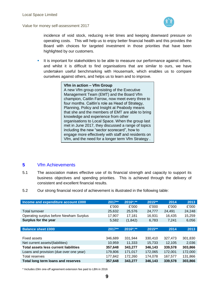

incidence of void stock, reducing re-let times and keeping downward pressure on operating costs. This will help us to enjoy better financial health and this provides the Board with choices for targeted investment in those priorities that have been highlighted by our customers.

It is important for stakeholders to be able to measure our performance against others, and whilst it is difficult to find organisations that are similar to ours, we have undertaken useful benchmarking with Housemark, which enables us to compare ourselves against others, and helps us to learn and to improve.

> **Vfm in action – Vfm Group** A new Vfm group consisting of the Executive Management Team (EMT) and the Board Vfm champion, Caitlin Farrow, now meet every three to four months. Caitlin's role as Head of Strategy, Planning, Policy and Insight at Peabody means that she and the members of EMT are able to bring knowledge and experience from other organisations to Local Space. When the group last met in June 2017, they discussed a range of topics including the new "sector scorecard", how to engage more effectively with staff and residents on Vfm, and the need for a longer term Vfm Strategy .

# **5** Vfm Achievements

- 5.1 The association makes effective use of its financial strength and capacity to support its business objectives and spending priorities. This is achieved through the delivery of consistent and excellent financial results.
- 5.2 Our strong financial record of achievement is illustrated in the following table:

| Income and expenditure account £000          | $2017**$ | 2016*,** | 2015 ** | 2014    | 2013    |
|----------------------------------------------|----------|----------|---------|---------|---------|
|                                              | £'000    | £'000    | £'000   | £'000   | £'000   |
| Total turnover                               | 25,632   | 25.576   | 24,777  | 24.491  | 24,248  |
| Operating surplus before Newham Surplus      | 17.907   | 17,181   | 16.931  | 16,435  | 15,259  |
| Surplus for the year                         | 5,582    | (1, 842) | 6,783   | 7,241   | 6,056   |
|                                              |          |          |         |         |         |
| <b>Balance sheet £000</b>                    | 2017**   | 2016*,** | 2015**  | 2014    | 2013    |
|                                              |          |          |         |         |         |
| Fixed assets                                 | 346,689  | 331.944  | 330,410 | 327,473 | 301,830 |
| Net current assets/(liabilities)             | 10,959   | 11,333   | 15,733  | 12.105  | 2,036   |
| <b>Total assets less current liabilities</b> | 357,648  | 343.277  | 346,143 | 339,578 | 303,866 |
| Loans and provision (due over one year)      | 179,806  | 171,017  | 172,065 | 172,001 | 172,000 |
| Total reserves                               | 177,842  | 172,260  | 174.078 | 167,577 | 131,866 |
| Total long term loans and reserves           | 357,648  | 343,277  | 346.143 | 339.578 | 303.866 |

\* Includes £9m one-off agreement extension fee paid to LBN in 2016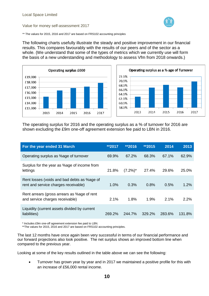

\*\* The values for 2015, 2016 and 2017 are based on FRS102 accounting principles

The following charts usefully illustrate the steady and positive improvement in our financial results. This compares favourably with the results of our peers and of the sector as a whole. (We understand that some of the types of metrics which we currently use will form the basis of a new understanding and methodology to assess Vfm from 2018 onwards.)





The operating surplus for 2016 and the operating surplus as a % of turnover for 2016 are shown excluding the £9m one-off agreement extension fee paid to LBN in 2016.

| For the year ended 31 March                                                         | **2017 | **2016      | **2015 | 2014   | 2013   |
|-------------------------------------------------------------------------------------|--------|-------------|--------|--------|--------|
| Operating surplus as %age of turnover                                               | 69.9%  | 67.2%       | 68.3%  | 67.1%  | 62.9%  |
| Surplus for the year as %age of income from<br>lettings                             | 21.8%  | $(7.2\%)^*$ | 27.4%  | 29.6%  | 25.0%  |
| Rent losses (voids and bad debts as %age of<br>rent and service charges receivable) | 1.0%   | 0.3%        | 0.8%   | 0.5%   | 1.2%   |
| Rent arrears (gross arrears as %age of rent<br>and service charges receivable)      | 2.1%   | 1.8%        | 1.9%   | 2.1%   | 2.2%   |
| Liquidity (current assets divided by current<br>liabilities)                        | 269.2% | 244.7%      | 329.2% | 283.6% | 131.8% |

\* Includes £9m one-off agreement extension fee paid to LBN.

\*\*The values for 2015, 2016 and 2017 are based on FRS102 accounting principles.

The last 12 months have once again been very successful in terms of our financial performance and our forward projections also look positive. The net surplus shows an improved bottom line when compared to the previous year.

Looking at some of the key results outlined in the table above we can see the following:

 Turnover has grown year by year and in 2017 we maintained a positive profile for this with an increase of £56,000 rental income.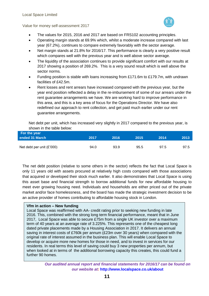

- The values for 2015, 2016 and 2017 are based on FRS102 accounting principles.
- Operating margin stands at 69.9% which, whilst a moderate increase compared with last year (67.2%), continues to compare extremely favorably with the sector average.
- Net margin stands at 21.8% for 2016/17. This performance is clearly a very positive result which compares well with the previous year and is well above sector average.
- The liquidity of the association continues to provide significant comfort with our results at 2017 showing a position of 269.2%. This is a very sound result which is well above the sector norms.
- Funding position is stable with loans increasing from £171.6m to £179.7m, with undrawn facilities of £42.5m.
- Rent losses and rent arrears have increased compared with the previous year, but the year end position reflected a delay in the re-imbursement of some of our arrears under the rent guarantee arrangements we have. We are working hard to improve performance in this area, and this is a key area of focus for the Operations Director. We have also redefined our approach to rent collection, and get paid much earlier under our rent guarantee arrangements.

Net debt per unit, which has increased very slightly in 2017 compared to the previous year, is shown in the table below:

| For the year                |      |      |      |      |      |
|-----------------------------|------|------|------|------|------|
| ended 31 March              | 2017 | 2016 | 2015 | 2014 | 2013 |
|                             |      |      |      |      |      |
| Net debt per unit $(E'000)$ | 94.0 | 93.9 | 95.5 | 97.5 | 97.5 |

The net debt position (relative to some others in the sector) reflects the fact that Local Space is only 11 years old with assets procured at relatively high costs compared with those associations that acquired or developed their stock much earlier. It also demonstrates that Local Space is using this asset base and financial strength to borrow additional funds for new affordable housing to meet ever growing housing need. Individuals and households are either priced out of the private market and/or face homelessness, and the board has made the strategic investment decision to be an active provider of homes contributing to affordable housing stock in London.

## **Vfm in action – New funding**

Local Space was reaffirmed with AA- credit rating prior to seeking new funding in late 2016. This, combined with the strong long term financial performance, meant that in June 2017, Local Space was able to secure £75m from a single UK investor over a maximum term of 40 years at an average rate of 3.225%. This represents one of the cheapest long dated private placements made by a Housing Association in 2017. It delivers an annual saving in interest costs of £760k per annum (£23m over 30 years) when compared with the original rate of interest assumed in the business plan. This will enable Local Space to develop or acquire more new homes for those in need, and to invest in services for our residents. In real terms this level of saving could buy 3 new properties per annum, but when looked at in terms of the additional borrowing capacity this creates, this could fund a further 90 homes.

> *Our audited annual report and financial statements for 2016/17 can be found on our website at:* **http://www.localspace.co.uk/about**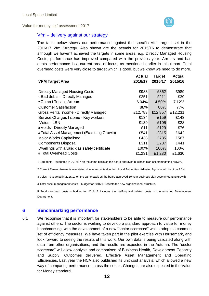

## Vfm – delivery against our strategy

The table below shows our performance against the specific Vfm targets set in the 2016/17 Vfm Strategy. Also shown are the actuals for 2015/16 to demonstrate that although we haven't achieved the targets in some areas, e.g. Directly Managed Housing Costs, performance has improved compared with the previous year. Arrears and bad debts performance is a current area of focus, as mentioned earlier in this report. Total overhead costs were very close to target which is good, but we know we need to do more.

|                                               | <b>Actual</b> | <b>Target</b> | <b>Actual</b> |
|-----------------------------------------------|---------------|---------------|---------------|
| <b>VFM Target Area</b>                        | 2016/17       | 2016/17       | 2015/16       |
| Directly Managed Housing Costs                | £983          | £862          | £989          |
| 1 Bad debts - Directly Managed                | £251          | £211          | £39           |
| 2 Current Tenant Arrears                      | 6.04%         | 4.50%         | 7.12%         |
| <b>Customer Satisfaction</b>                  | 88%           | 80%           | 77%           |
| Gross Rental Income - Directly Managed        | £12,783       | £12,857       | £12,231       |
| Service Charges Income - Key workers          | £134          | £159          | £143          |
| Voids - LBN                                   | £139          | £105          | £28           |
| 3 Voids - Directly Managed                    | £11           | £129          | £76           |
| 4 Total Asset Management (Excluding Growth)   | £541          | £815          | £642          |
| <b>Major Works Capitalised</b>                | £438          | £735          | £567          |
| <b>Components Disposal</b>                    | £311          | £237          | £441          |
| Dwellings with a valid gas safety certificate | 100%          | 100%          | 100%          |
| 5 Total Overhead Costs                        | £1,231        | £1,230        | £1,630        |

1 Bad debts – budgeted in 2016/17 on the same basis as the board approved business plan accommodating growth.

2 Current Tenant Arrears is overstated due to amounts due from Local Authorities. Adjusted figure would be circa 4.5%

3 Voids – budgeted in 2016/17 on the same basis as the board approved 30 year business plan accommodating growth.

4 Total asset management costs – budget for 2016/17 reflects the new organizational structure.

5 Total overhead costs – budget for 2016/17 includes the staffing and related costs of the enlarged Development Department.

## **6 Benchmarking performance**

6.1 We recognise that it is important for stakeholders to be able to measure our performance against others. The sector is working to develop a standard approach to value for money benchmarking, with the development of a new "sector scorecard" which adopts a common set of efficiency measures. We have taken part in the pilot exercise with Housemark, and look forward to seeing the results of this work. Our own data is being validated along with data from other organisations, and the results are expected in the Autumn. The "sector scorecard" will allow analysis and comparison of Business Health, Development Capacity and Supply, Outcomes delivered, Effective Asset Management and Operating Efficiencies. Last year the HCA also published its unit cost analysis, which allowed a new way of comparing performance across the sector. Changes are also expected in the Value for Money standard.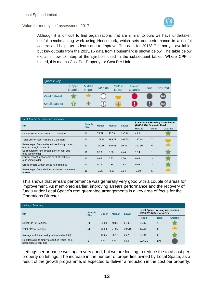

Although it is difficult to find organisations that are similar to ours we have undertaken useful benchmarking work using Housemark, which sets our performance in a useful context and helps us to learn and to improve. The data for 2016/17 is not yet available, but key outputs from the 2015/16 data from Housemark is shown below. The table below explains how to interpret the symbols used in the subsequent tables. Where CPP is stated, this means Cost Per Property, or Cost Per Unit.

| <b>Quartile key</b>  |                   |                        |               |                        |                   |     |                   |
|----------------------|-------------------|------------------------|---------------|------------------------|-------------------|-----|-------------------|
|                      | Upper<br>Quartile | <b>Middle</b><br>Upper | <b>Median</b> | <b>Middle</b><br>Lower | Lower<br>Quartile | N/A | No Data           |
| <b>Valid dataset</b> |                   |                        |               |                        |                   |     | (M <sub>1</sub> ) |
| <b>Small dataset</b> |                   |                        |               | Ŧ                      |                   | U   | (M)               |

#### Rent Arrears & Collection Summary

| <b>KPI</b>                                                                  | <b>Sample</b><br><b>Size</b> | <b>Upper</b> | <b>Median</b> | <b>Lower</b> | <b>Local Space Housing Association</b><br>(2015/2016) Scenario Final |                |          |
|-----------------------------------------------------------------------------|------------------------------|--------------|---------------|--------------|----------------------------------------------------------------------|----------------|----------|
|                                                                             |                              |              |               |              | <b>Result</b>                                                        | <b>Rank</b>    | Quartile |
| Direct CPP of Rent Arrears & Collection                                     | 11                           | 75.59        | 95.73         | 135.16       | 48.84                                                                |                |          |
| Total CPP of Rent Arrears & Collection                                      | 11                           | 171.34       | 189.71        | 197.60       | 190.68                                                               | $\overline{7}$ |          |
| Percentage of rent collected (excluding current<br>arrears brought forward) | 11                           | 100.35       | 100.08        | 99.86        | 100.10                                                               | 5              |          |
| Current tenant rent arrears as % of rent due<br>(excluding voids)           | 11                           | 3.13         | 3.60          | 4.44         | 1.14                                                                 |                |          |
| Former tenant rent arrears as % of rent due<br>(excluding voids)            | 11                           | 0.65         | 0.83          | 1.30         | 0.63                                                                 | 3              |          |
| Gross arrears written off as % of rent due                                  | 11                           | 0.19         | 0.34          | 0.54         | 0.05                                                                 | $\overline{2}$ |          |
| Percentage of rent debit not collected due to rent<br>arrears               | 11                           | $-0.35$      | $-0.08$       | 0.14         | $-0.10$                                                              | 5              |          |

This shows that arrears performance was generally very good with a couple of areas for improvement. As mentioned earlier, improving arrears performance and the recovery of funds under Local Space's rent guarantee arrangements is a key area of focus for the Operations Director.

| <b>Lettings Summary</b>                                                  |                              |              |               |        |                                                                      |                |          |
|--------------------------------------------------------------------------|------------------------------|--------------|---------------|--------|----------------------------------------------------------------------|----------------|----------|
| <b>KPI</b>                                                               | <b>Sample</b><br><b>Size</b> | <b>Upper</b> | <b>Median</b> | Lower  | <b>Local Space Housing Association</b><br>(2015/2016) Scenario Final |                |          |
|                                                                          |                              |              |               |        | <b>Result</b>                                                        | Rank           | Quartile |
| Direct CPP of Lettings                                                   | 11                           | 29.83        | 48.53         | 61.00  | 19.65                                                                |                |          |
| <b>Total CPP of Lettings</b>                                             | 11                           | 65.94        | 97.00         | 104.16 | 90.32                                                                | 5              |          |
| Average re-let time in days (standard re-lets)                           | 10                           | 18.25        | 25.18         | 26.75  | 13.00                                                                | $\overline{2}$ |          |
| Rent loss due to empty properties (voids) as a<br>percentage of rent due | 9                            | 0.51         | 0.82          | 0.98   | <b>NoData</b>                                                        | N/A            |          |

Lettings performance was again very good, but we are looking to reduce the total cost per property on lettings. The increase in the number of properties owned by Local Space, as a result of the growth programme, is expected to deliver a reduction in the cost per property.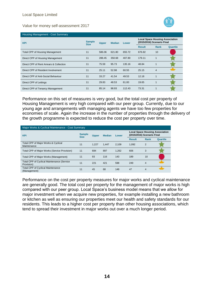



| Housing Management - Cost Summary       |                              |              |               |        |                                                                      |                |          |
|-----------------------------------------|------------------------------|--------------|---------------|--------|----------------------------------------------------------------------|----------------|----------|
| <b>KPI</b>                              | <b>Sample</b><br><b>Size</b> | <b>Upper</b> | <b>Median</b> | Lower  | <b>Local Space Housing Association</b><br>(2015/2016) Scenario Final |                |          |
|                                         |                              |              |               |        | <b>Result</b>                                                        | Rank           | Quartile |
| <b>Total CPP of Housing Management</b>  | 11                           | 586.06       | 621.80        | 655.72 | 676.82                                                               | 10             |          |
| Direct CPP of Housing Management        | 11                           | 288.45       | 350.68        | 407.80 | 179.11                                                               |                |          |
| Direct CPP of Rent Arrears & Collection | 11                           | 75.59        | 95.73         | 135.16 | 48.84                                                                |                |          |
| Direct CPP of Resident Involvement      | 11                           | 25.11        | 52.98         | 60.55  | 25.15                                                                | $\overline{4}$ |          |
| Direct CPP of Anti-Social Behaviour     | 11                           | 33.27        | 41.54         | 49.53  | 12.18                                                                |                |          |
| Direct CPP of Lettings                  | 11                           | 29.83        | 48.53         | 61.00  | 19.65                                                                |                |          |
| Direct CPP of Tenancy Management        | 11                           | 85.14        | 98.93         | 112.43 | 73.31                                                                |                |          |

Performance on this set of measures is very good, but the total cost per property of Housing Management is very high compared with our peer group. Currently, due to our young age and arrangements with managing agents we have too few properties for economies of scale. Again the increase in the number of properties through the delivery of the growth programme is expected to reduce the cost per property over time.

| Major Works & Cyclical Maintenance - Cost Summary               |                                                               |       |                                                                      |       |               |                |          |  |
|-----------------------------------------------------------------|---------------------------------------------------------------|-------|----------------------------------------------------------------------|-------|---------------|----------------|----------|--|
| <b>KPI</b>                                                      | <b>Sample</b><br><b>Upper</b><br><b>Median</b><br><b>Size</b> | Lower | <b>Local Space Housing Association</b><br>(2015/2016) Scenario Final |       |               |                |          |  |
|                                                                 |                                                               |       |                                                                      |       | <b>Result</b> | Rank           | Quartile |  |
| Total CPP of Major Works & Cyclical<br>Maintenance              | 11                                                            | 1.227 | 1.447                                                                | 2.109 | 1.092         | $\overline{2}$ |          |  |
| Total CPP of Major Works (Service Provision)                    | 11                                                            | 684   | 897                                                                  | 1,262 | 606           | 3              |          |  |
| Total CPP of Major Works (Management)                           | 11                                                            | 93    | 116                                                                  | 143   | 189           | 10             |          |  |
| <b>Total CPP of Cyclical Maintenance (Service</b><br>Provision) | 11                                                            | 221   | 421                                                                  | 598   | 249           | 4              |          |  |
| <b>Total CPP of Cyclical Maintenance</b><br>(Management)        | 11                                                            | 45    | 68                                                                   | 148   | 47            | 4              |          |  |

Performance on the cost per property measures for major works and cyclical maintenance are generally good. The total cost per property for the management of major works is high compared with our peer group. Local Space's business model means that we allow for major investment when we acquire new properties, for example installing a new bathroom or kitchen as well as ensuring our properties meet our health and safety standards for our residents. This leads to a higher cost per property than other housing associations, which tend to spread their investment in major works out over a much longer period.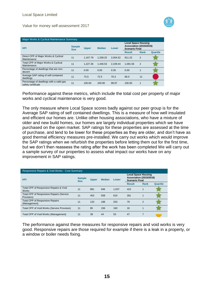

| Major Works & Cyclical Maintenance Summary                     |                              |              |               |          |                                                                                       |             |          |  |
|----------------------------------------------------------------|------------------------------|--------------|---------------|----------|---------------------------------------------------------------------------------------|-------------|----------|--|
| <b>KPI</b>                                                     | <b>Sample</b><br><b>Size</b> | <b>Upper</b> | <b>Median</b> | Lower    | <b>Local Space Housing</b><br><b>Association (2015/2016)</b><br><b>Scenario Final</b> |             |          |  |
|                                                                |                              |              |               |          | <b>Result</b>                                                                         | <b>Rank</b> | Quartile |  |
| Direct CPP of Major Works & Cyclical<br>Maintenance            | 11                           | 1.167.79     | 1.339.25      | 2.004.52 | 911.23                                                                                | 2           |          |  |
| Total CPP of Major Works & Cyclical<br>Maintenance             | 11                           | 1.227.36     | 1.446.53      | 2.109.44 | 1.091.56                                                                              | 2           |          |  |
| Percentage of dwellings that are non-<br>decent                | 11                           | 0.00         | 0.00          | 0.35     | 0.00                                                                                  |             |          |  |
| Average SAP rating of self-contained<br>dwellings              | 11                           | 73.5         | 72.5          | 70.3     | 66.0                                                                                  | 11          |          |  |
| Percentage of dwellings with a valid gas<br>safety certificate | 11                           | 100.00       | 100.00        | 99.97    | 100.00                                                                                | 1           |          |  |

Performance against these metrics, which include the total cost per property of major works and cyclical maintenance is very good.

The only measure where Local Space scores badly against our peer group is for the Average SAP rating of self contained dwellings. This is a measure of how well insulated and efficient our homes are. Unlike other housing associations, who have a mixture of older and new build homes, our homes are largely individual properties which we have purchased on the open market. SAP ratings for these properties are assessed at the time of purchase, and tend to be lower for these properties as they are older, and don't have as good thermal efficiency measures pre-installed. We carry out works which would improve the SAP ratings when we refurbish the properties before letting them out for the first time, but we don't then reassess the rating after the work has been completed We will carry out a sample survey of our properties to assess what impact our works have on any improvement in SAP ratings.

| Responsive Repairs & Void Works - Cost Summary         |                              |              |               |       |                                                                                       |                |          |  |
|--------------------------------------------------------|------------------------------|--------------|---------------|-------|---------------------------------------------------------------------------------------|----------------|----------|--|
| <b>KPI</b>                                             | <b>Sample</b><br><b>Size</b> | <b>Upper</b> | <b>Median</b> | Lower | <b>Local Space Housing</b><br><b>Association (2015/2016)</b><br><b>Scenario Final</b> |                |          |  |
|                                                        |                              |              |               |       | <b>Result</b>                                                                         | Rank           | Quartile |  |
| Total CPP of Responsive Repairs & Void<br><b>Works</b> | 11                           | 881          | 946           | 1.037 | 423                                                                                   | 1              |          |  |
| Total CPP of Responsive Repairs (Service<br>Provision) | 11                           | 453          | 558           | 610   | 281                                                                                   | 1              |          |  |
| <b>Total CPP of Responsive Repairs</b><br>(Management) | 11                           | 133          | 188           | 253   | 79                                                                                    | $\overline{2}$ |          |  |
| Total CPP of Void Works (Service Provision)            | 11                           | 85           | 156           | 160   | 16                                                                                    | 1              |          |  |
| Total CPP of Void Works (Management)                   | 11                           | 39           | 44            | 53    | 47                                                                                    | 7              |          |  |

The performance against these measures for responsive repairs and void works is very good. Responsive repairs are those required for example if there is a leak in a property, or a window or boiler needs fixing.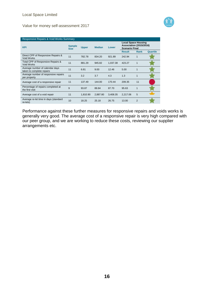

| <b>Responsive Repairs &amp; Void Works Summary</b>           |                              |              |               |          |                                                                                       |                |          |  |
|--------------------------------------------------------------|------------------------------|--------------|---------------|----------|---------------------------------------------------------------------------------------|----------------|----------|--|
| <b>KPI</b>                                                   | <b>Sample</b><br><b>Size</b> | <b>Upper</b> | <b>Median</b> | Lower    | <b>Local Space Housing</b><br><b>Association (2015/2016)</b><br><b>Scenario Final</b> |                |          |  |
|                                                              |                              |              |               |          | <b>Result</b>                                                                         | Rank           | Quartile |  |
| Direct CPP of Responsive Repairs &<br>Void Works             | 11                           | 782.78       | 834.20        | 921.89   | 242.94                                                                                | $\mathbf{1}$   |          |  |
| Total CPP of Responsive Repairs &<br>Void Works              | 11                           | 881.29       | 945.82        | 1,037.38 | 423.27                                                                                |                |          |  |
| Average number of calendar days<br>taken to complete repairs | 11                           | 6.81         | 9.00          | 12.46    | 5.00                                                                                  | $\mathbf{1}$   |          |  |
| Average number of responsive repairs<br>per property         | 11                           | 3.2          | 3.7           | 4.3      | 1.3                                                                                   | 1              |          |  |
| Average cost of a responsive repair                          | 11                           | 137.49       | 144.00        | 170.44   | 209.35                                                                                | 11             |          |  |
| Percentage of repairs completed at<br>the first visit        | 9                            | 93.87        | 89.84         | 87.70    | 95.63                                                                                 | 1              |          |  |
| Average cost of a void repair                                | 11                           | 1,810.90     | 2,887.80      | 3,408.35 | 2,217.06                                                                              | 5              |          |  |
| Average re-let time in days (standard<br>re-lets)            | 10                           | 18.25        | 25.18         | 26.75    | 13.00                                                                                 | $\overline{2}$ |          |  |

Performance against these further measures for responsive repairs and voids works is generally very good. The average cost of a responsive repair is very high compared with our peer group, and we are working to reduce these costs, reviewing our supplier arrangements etc.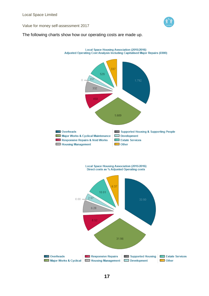

## The following charts show how our operating costs are made up.

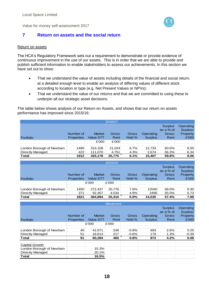

# **7 Return on assets and the social return**

### Return on assets

Capital Growth

London Borough of Newham 15.3% Directly Managed 20.1% **Total 16.5%**

The HCA's Regulatory Framework sets out a requirement to demonstrate or provide evidence of continuous improvement in the use of our assets. This is in order that we are able to provide and publish sufficient information to enable stakeholders to assess our achievements. In this section we have set out to show:

- That we understand the value of assets including details of the financial and social return, at a detailed enough level to enable an analysis of differing values of different stock according to location or type (e.g. Net Present Values or NPVs);
- That we understand the value of our returns and that we are committed to using these to underpin all our strategic asset decisions.

The table below shows analysis of our Return on Assets, and shows that our return on assets performance has improved since 2015/16:

|                          |                   |                  | 2016/17         |              |                |                |           |
|--------------------------|-------------------|------------------|-----------------|--------------|----------------|----------------|-----------|
|                          |                   |                  |                 |              |                | <b>Surplus</b> | Operating |
|                          |                   |                  |                 |              |                | as a % of      | Surplus/  |
|                          | Number of         | <b>Market</b>    | Gross           | <b>Gross</b> | Operating      | <b>Gross</b>   | Property  |
| Portfolio                | <b>Properties</b> | <b>Value STT</b> | Rent            | Yield %      | <b>Surplus</b> | Rent           | £'000     |
|                          |                   | £'000            | £'000           |              |                |                |           |
|                          |                   |                  |                 |              |                |                |           |
| London Borough of Newham | 1490              | 314,108          | 21,024          | 6.7%         | 12,733         | 60.6%          | 8.55      |
| <b>Directly Managed</b>  | 422               | 111,070          | 4,751           | 4.3%         | 2,674          | 56.3%          | 6.34      |
| <b>Total</b>             | 1912              | 425,178          | 25,775          | 6.1%         | 15,407         | 59.8%          | 8.06      |
|                          |                   |                  | 2015/16         |              |                |                |           |
|                          |                   |                  |                 |              |                | <b>Surplus</b> | Operating |
|                          |                   |                  |                 |              |                | as a % of      | Surplus/  |
|                          | Number of         | <b>Market</b>    | Gross           | Gross        | Operating      | <b>Gross</b>   | Property  |
| Portfolio                | <b>Properties</b> | <b>Value STT</b> | Rent            | Yield %      | <b>Surplus</b> | Rent           | £'000     |
|                          |                   | £'000            | £'000           |              |                |                |           |
|                          |                   |                  |                 |              |                |                |           |
| London Borough of Newham | 1450              | 272,437          | 20.776          | 7.6%         | 12040          | 58.0%          | 8.30      |
| <b>Directly Managed</b>  | 371               | 92,457           | 4,534           | 4.9%         | 2495           | 55.0%          | 6.73      |
| <b>Total</b>             | 1821              | 364,894          | 25,310          | 6.9%         | 14,535         | 57.4%          | 7.98      |
|                          |                   |                  | <b>Movement</b> |              |                |                |           |
|                          |                   |                  |                 |              |                | <b>Surplus</b> | Operating |
|                          |                   |                  |                 |              |                | as a % of      | Surplus/  |
|                          | Number of         | <b>Market</b>    | Gross           | <b>Gross</b> | Operating      | <b>Gross</b>   | Property  |
| Portfolio                | <b>Properties</b> | <b>Value STT</b> | Rent            | Yield %      | <b>Surplus</b> | Rent           | £'000     |
|                          |                   | £'000            | £'000           |              |                |                |           |
|                          |                   |                  |                 |              |                |                |           |
| London Borough of Newham | 40                | 41,671           | 248             | $-0.9%$      | 693            | 2.6%           | 0.25      |
| <b>Directly Managed</b>  | 51                | 18,613           | 217             | $-0.6%$      | 179            | 1.3%           | $-0.39$   |
| <b>Total</b>             | 91                | 60,284           | 465             | 0.8%         | 872            | 4.2%           | 0.08      |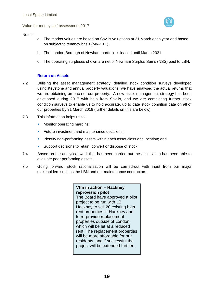## Notes:

- a. The market values are based on Savills valuations at 31 March each year and based on subject to tenancy basis (MV-STT).
- b. The London Borough of Newham portfolio is leased until March 2031.
- c. The operating surpluses shown are net of Newham Surplus Sums (NSS) paid to LBN.

## **Return on Assets**

- 7.2 Utilising the asset management strategy, detailed stock condition surveys developed using Keystone and annual property valuations, we have analysed the actual returns that we are obtaining on each of our property. A new asset management strategy has been developed during 2017 with help from Savills, and we are completing further stock condition surveys to enable us to hold accurate, up to date stock condition data on all of our properties by 31 March 2018 (further details on this are below).
- 7.3 This information helps us to:
	- **Monitor operating margins;**
	- **Future investment and maintenance decisions;**
	- I Identify non-performing assets within each asset class and location; and
	- **Support decisions to retain, convert or dispose of stock.**
- 7.4 Based on the analytical work that has been carried out the association has been able to evaluate poor performing assets.
- 7.5 Going forward, stock rationalisation will be carried-out with input from our major stakeholders such as the LBN and our maintenance contractors.

**Vfm in action – Hackney reprovision pilot** The Board have approved a pilot project to be run with LB Hackney to sell 20 existing high rent properties in Hackney and to re-provide replacement properties outside of London, which will be let at a reduced rent. The replacement properties will be more affordable for our residents, and if successful the project will be extended further.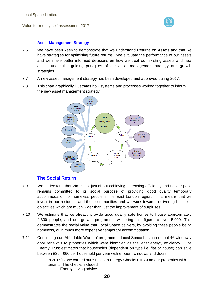

## **Asset Management Strategy**

- 7.6 We have been keen to demonstrate that we understand Returns on Assets and that we have strategies for optimising future returns. We evaluate the performance of our assets and we make better informed decisions on how we treat our existing assets and new assets under the guiding principles of our asset management strategy and growth strategies.
- 7.7 A new asset management strategy has been developed and approved during 2017.
- 7.8 This chart graphically illustrates how systems and processes worked together to inform the new asset management strategy:



# **The Social Return**

- 7.9 We understand that Vfm is not just about achieving increasing efficiency and Local Space remains committed to its social purpose of providing good quality temporary accommodation for homeless people in the East London region. This means that we invest in our residents and their communities and we work towards delivering business objectives which are much wider than just the improvement of surpluses.
- 7.10 We estimate that we already provide good quality safe homes to house approximately 4,300 people, and our growth programme will bring this figure to over 5,000. This demonstrates the social value that Local Space delivers, by avoiding these people being homeless, or in much more expensive temporary accommodation.
- 7.11 Continuing our 'Affordable Warmth' programme, Local Space has carried out 46 windows/ door renewals to properties which were identified as the least energy efficiency. The Energy Trust estimates that households (dependent on type i.e. flat or house) can save between £35 - £60 per household per year with efficient windows and doors.

In 2016/17 we carried out 61 Health Energy Checks (HEC) on our properties with tenants. The checks included:

Energy saving advice.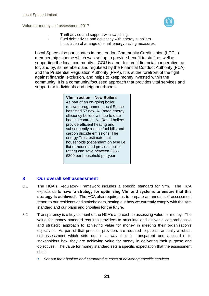

- Tariff advice and support with switching.
	- Fuel debt advice and advocacy with energy suppliers.
- Installation of a range of small energy saving measures.

Local Space also participates in the London Community Credit Union (LCCU) membership scheme which was set up to provide benefit to staff, as well as supporting the local community. LCCU is a not-for-profit financial cooperative run for, and by, its members and regulated by the Financial Conduct Authority (FCA) and the Prudential Regulation Authority (PRA). It is at the forefront of the fight against financial exclusion, and helps to keep money invested within the community. It is a community focussed approach that provides vital services and support for individuals and neighbourhoods.

## **Vfm in action – New Boilers**

As part of an on-going boiler renewal programme, Local Space has fitted 57 new A- Rated energy efficiency boilers with up to date heating controls. A - Rated boilers provide efficient heating and subsequently reduce fuel bills and carbon dioxide emissions. The energy Trust estimate that households (dependant on type i.e. flat or house and previous boiler rating) can save between £55 - £200 per household per year.

# **8 Our overall self assessment**

- 8.1 The HCA's Regulatory Framework includes a specific standard for Vfm. The HCA expects us to have **'a strategy for optimising Vfm and systems to ensure that this strategy is achieved'**. The HCA also requires us to prepare an annual self-assessment report to our residents and stakeholders, setting out how we currently comply with the Vfm standard and our plans and priorities for the future.
- 8.2 Transparency is a key element of the HCA's approach to assessing value for money. The value for money standard requires providers to articulate and deliver a comprehensive and strategic approach to achieving value for money in meeting their organisation's objectives. As part of that process, providers are required to publish annually a robust self-assessment which sets out in a way that is transparent and accessible to stakeholders how they are achieving value for money in delivering their purpose and objectives. The value for money standard sets a specific expectation that the assessment shall:
	- *Set out the absolute and comparative costs of delivering specific services*